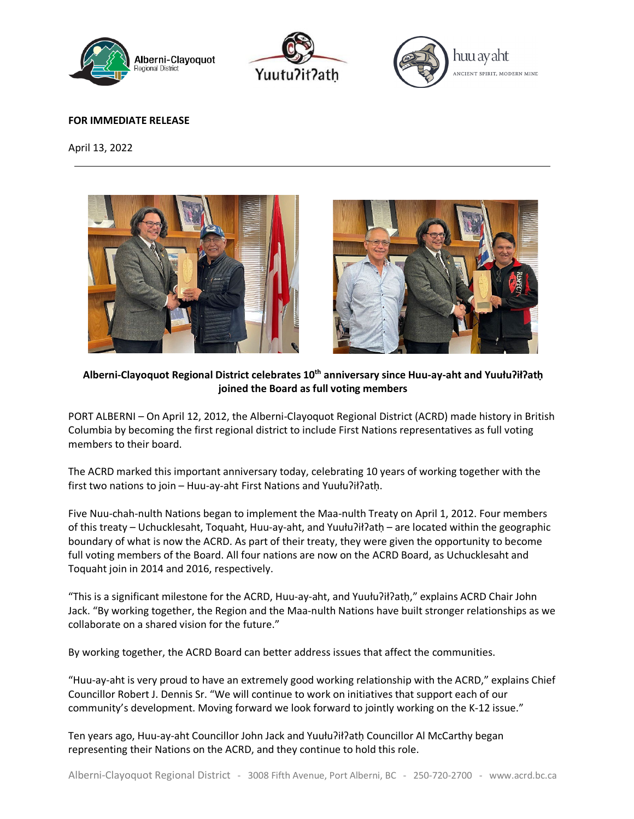





## **FOR IMMEDIATE RELEASE**

April 13, 2022





**Alberni-Clayoquot Regional District celebrates 10th anniversary since Huu-ay-aht and Yuułuʔiłʔatḥ joined the Board as full voting members**

PORT ALBERNI – On April 12, 2012, the Alberni-Clayoquot Regional District (ACRD) made history in British Columbia by becoming the first regional district to include First Nations representatives as full voting members to their board.

The ACRD marked this important anniversary today, celebrating 10 years of working together with the first two nations to join – Huu-ay-aht First Nations and Yuułuʔiłʔatḥ.

Five Nuu-chah-nulth Nations began to implement the Maa-nulth Treaty on April 1, 2012. Four members of this treaty – Uchucklesaht, Toquaht, Huu-ay-aht, and Yuułuʔiłʔatḥ – are located within the geographic boundary of what is now the ACRD. As part of their treaty, they were given the opportunity to become full voting members of the Board. All four nations are now on the ACRD Board, as Uchucklesaht and Toquaht join in 2014 and 2016, respectively.

"This is a significant milestone for the ACRD, Huu-ay-aht, and Yuułuʔiłʔatḥ," explains ACRD Chair John Jack. "By working together, the Region and the Maa-nulth Nations have built stronger relationships as we collaborate on a shared vision for the future."

By working together, the ACRD Board can better address issues that affect the communities.

"Huu-ay-aht is very proud to have an extremely good working relationship with the ACRD," explains Chief Councillor Robert J. Dennis Sr. "We will continue to work on initiatives that support each of our community's development. Moving forward we look forward to jointly working on the K-12 issue."

Ten years ago, Huu-ay-aht Councillor John Jack and Yuułu?ił?ath Councillor Al McCarthy began representing their Nations on the ACRD, and they continue to hold this role.